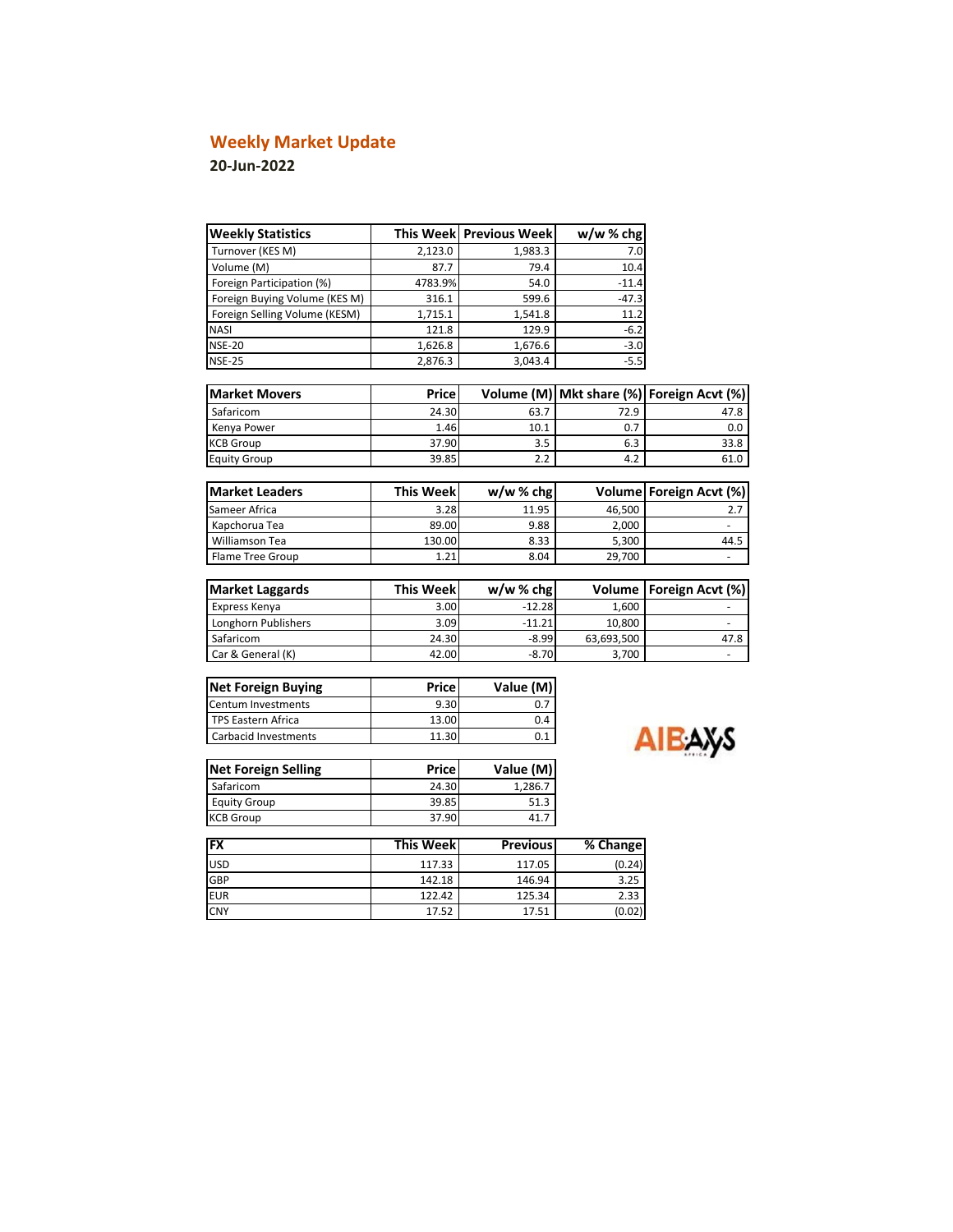# **Weekly Market Update**

**20-Jun-2022**

| <b>Weekly Statistics</b>      |                  | This Week Previous Week | $w/w$ % chg |                                |
|-------------------------------|------------------|-------------------------|-------------|--------------------------------|
| Turnover (KES M)              | 2,123.0          | 1,983.3                 | 7.0         |                                |
| Volume (M)                    | 87.7             | 79.4                    | 10.4        |                                |
| Foreign Participation (%)     | 4783.9%          | 54.0                    | $-11.4$     |                                |
| Foreign Buying Volume (KES M) | 316.1            | 599.6                   | $-47.3$     |                                |
| Foreign Selling Volume (KESM) | 1,715.1          | 1,541.8                 | 11.2        |                                |
| <b>NASI</b>                   | 121.8            | 129.9                   | $-6.2$      |                                |
| <b>NSE-20</b>                 | 1,626.8          | 1,676.6                 | $-3.0$      |                                |
| <b>NSE-25</b>                 | 2,876.3          | 3,043.4                 | $-5.5$      |                                |
| <b>Market Movers</b>          | Price            | Volume (M)              |             | Mkt share (%) Foreign Acvt (%) |
| Safaricom                     | 24.30            | 63.7                    | 72.9        | 47.8                           |
| Kenya Power                   | 1.46             | 10.1                    | 0.7         | 0.0                            |
| <b>KCB Group</b>              | 37.90            | 3.5                     | 6.3         | 33.8                           |
| <b>Equity Group</b>           | 39.85            | 2.2                     | 4.2         | 61.0                           |
|                               |                  |                         |             |                                |
| <b>Market Leaders</b>         | <b>This Week</b> | $w/w$ % chg             |             | Volume Foreign Acvt (%)        |
| Sameer Africa                 | 3.28             | 11.95                   | 46,500      | 2.7                            |
| Kapchorua Tea                 | 89.00            | 9.88                    | 2,000       |                                |
| Williamson Tea                | 130.00           | 8.33                    | 5,300       | 44.5                           |
| Flame Tree Group              | 1.21             | 8.04                    | 29,700      |                                |
| <b>Market Laggards</b>        | <b>This Week</b> | $w/w$ % chg             | Volume      | Foreign Acvt (%)               |
| Express Kenya                 | 3.00             | $-12.28$                | 1,600       |                                |
| Longhorn Publishers           | 3.09             | $-11.21$                | 10,800      | $\overline{\phantom{a}}$       |
| Safaricom                     | 24.30            | $-8.99$                 | 63,693,500  | 47.8                           |
| Car & General (K)             | 42.00            | $-8.70$                 | 3,700       |                                |
| <b>Net Foreign Buying</b>     | <b>Price</b>     | Value (M)               |             |                                |
| <b>Centum Investments</b>     | 9.30             | 0.7                     |             |                                |
| <b>TPS Eastern Africa</b>     | 13.00            | 0.4                     |             |                                |
| <b>Carbacid Investments</b>   |                  | 0.1                     |             | ΔΙΕΔΧΚ                         |
|                               | 11.30            |                         |             |                                |

| <b>Net Foreign Selling</b> | Price | Value (M) |  |  |
|----------------------------|-------|-----------|--|--|
| Safaricom                  | 24.30 | 1,286.7   |  |  |
| <b>Equity Group</b>        | 39.85 | 51.3      |  |  |
| <b>KCB Group</b>           | 37.90 | 41.       |  |  |

| <b>FX</b>  | <b>This Weekl</b> | <b>Previous</b> | % Change |
|------------|-------------------|-----------------|----------|
| <b>USD</b> | 117.33            | 117.05          | (0.24)   |
| <b>GBP</b> | 142.18            | 146.94          | 3.25     |
| <b>EUR</b> | 122.42            | 125.34          | 2.33     |
| <b>CNY</b> | 17.52             | 17.51           | (0.02)   |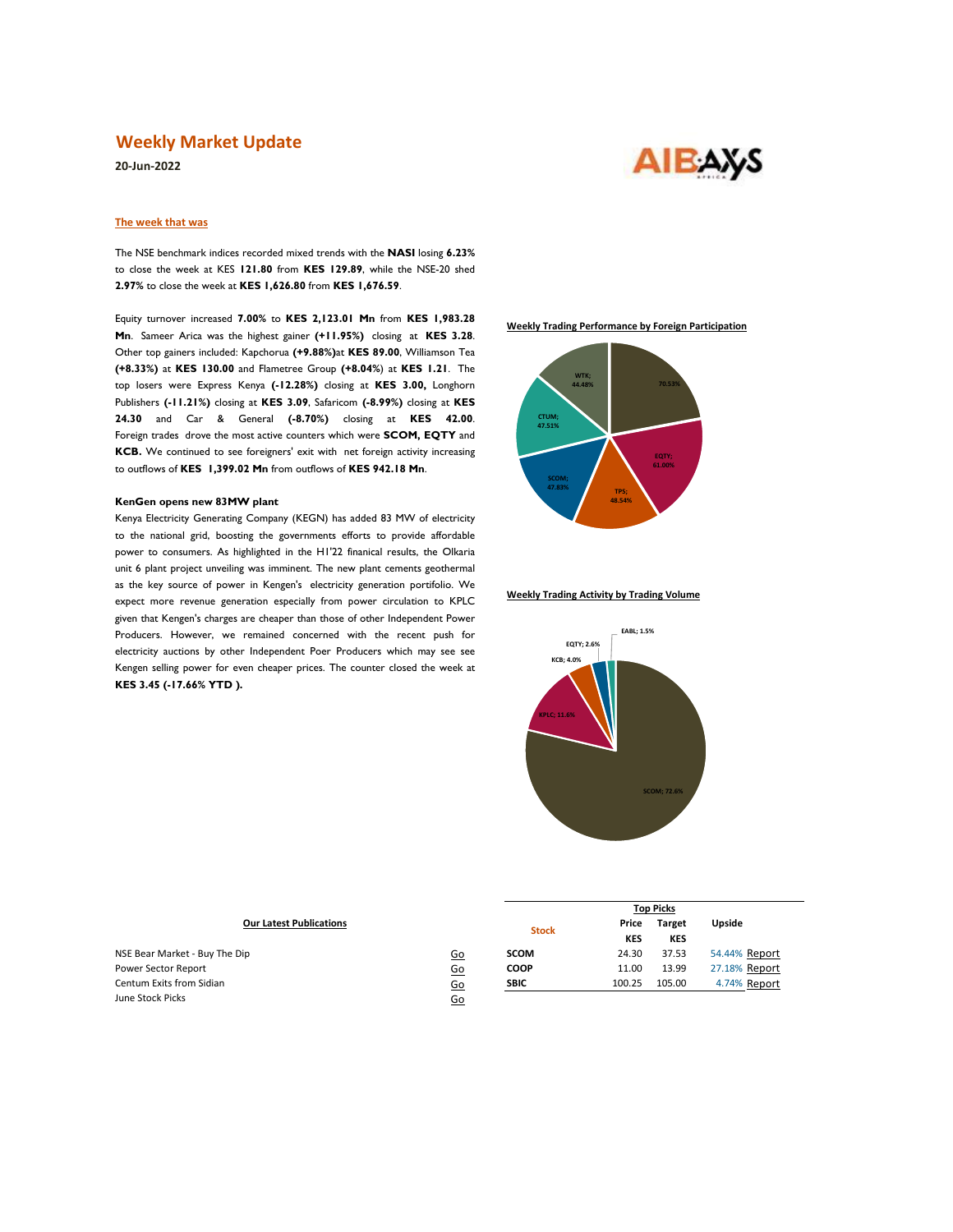### **Weekly Market Update**

**20-Jun-2022**



### **The week that was**

The NSE benchmark indices recorded mixed trends with the **NASI** losing **6.23%**  to close the week at KES **121.80** from **KES 129.89**, while the NSE-20 shed **2.97%** to close the week at **KES 1,626.80** from **KES 1,676.59**.

Equity turnover increased **7.00%** to **KES 2,123.01 Mn** from **KES 1,983.28 Mn**. Sameer Arica was the highest gainer **(+11.95%)** closing at **KES 3.28**. Other top gainers included: Kapchorua **(+9.88%)**at **KES 89.00**, Williamson Tea **(+8.33%)** at **KES 130.00** and Flametree Group **(+8.04%**) at **KES 1.21**. The top losers were Express Kenya **(-12.28%)** closing at **KES 3.00,** Longhorn Publishers **(-11.21%)** closing at **KES 3.09**, Safaricom **(-8.99%)** closing at **KES 24.30** and Car & General **(-8.70%)** closing at **KES 42.00**. Foreign trades drove the most active counters which were **SCOM, EQTY** and **KCB.** We continued to see foreigners' exit with net foreign activity increasing to outflows of **KES 1,399.02 Mn** from outflows of **KES 942.18 Mn**.

#### **KenGen opens new 83MW plant**

Kenya Electricity Generating Company (KEGN) has added 83 MW of electricity to the national grid, boosting the governments efforts to provide affordable power to consumers. As highlighted in the H1'22 finanical results, the Olkaria unit 6 plant project unveiling was imminent. The new plant cements geothermal as the key source of power in Kengen's electricity generation portifolio. We expect more revenue generation especially from power circulation to KPLC given that Kengen's charges are cheaper than those of other Independent Power Producers. However, we remained concerned with the recent push for electricity auctions by other Independent Poer Producers which may see see Kengen selling power for even cheaper prices. The counter closed the week at **KES 3.45 (-17.66% YTD ).**

**Weekly Trading Performance by Foreign Participation**



#### **Weekly Trading Activity by Trading Volume**



**Top Picks**

| <b>Our Latest Publications</b> | <b>Stock</b> | Price       | <b>Target</b> | <b>Upside</b> |               |
|--------------------------------|--------------|-------------|---------------|---------------|---------------|
|                                |              |             | <b>KES</b>    | <b>KES</b>    |               |
| NSE Bear Market - Buy The Dip  | <u>Go</u>    | <b>SCOM</b> | 24.30         | 37.53         | 54.44% Report |
| Power Sector Report            | 60           | <b>COOP</b> | 11.00         | 13.99         | 27.18% Report |
| Centum Exits from Sidian       | 60           | <b>SBIC</b> | 100.25        | 105.00        | 4.74% Report  |
| June Stock Picks               | Go           |             |               |               |               |